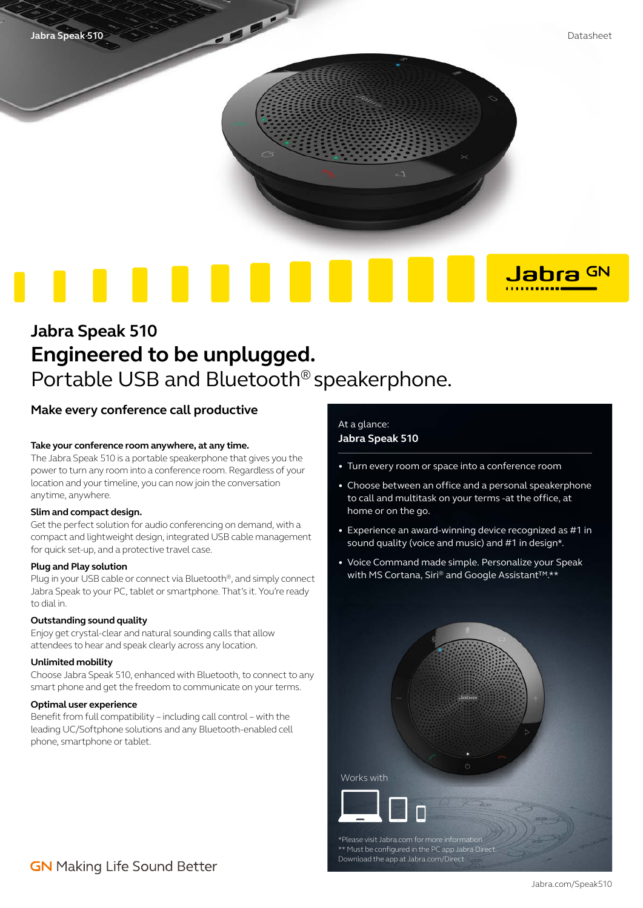

Jabra GN . . . . . . . . . .

# **Jabra Speak 510 Engineered to be unplugged.**  Portable USB and Bluetooth® speakerphone.

### **Make every conference call productive**

#### **Take your conference room anywhere, at any time.**

The Jabra Speak 510 is a portable speakerphone that gives you the power to turn any room into a conference room. Regardless of your location and your timeline, you can now join the conversation anytime, anywhere.

#### **Slim and compact design.**

Get the perfect solution for audio conferencing on demand, with a compact and lightweight design, integrated USB cable management for quick set-up, and a protective travel case.

#### **Plug and Play solution**

Plug in your USB cable or connect via Bluetooth®, and simply connect Jabra Speak to your PC, tablet or smartphone. That's it. You're ready to dial in.

#### **Outstanding sound quality**

Enjoy get crystal-clear and natural sounding calls that allow attendees to hear and speak clearly across any location.

#### **Unlimited mobility**

Choose Jabra Speak 510, enhanced with Bluetooth, to connect to any smart phone and get the freedom to communicate on your terms.

#### **Optimal user experience**

Benefit from full compatibility – including call control – with the leading UC/Softphone solutions and any Bluetooth-enabled cell phone, smartphone or tablet.

### At a glance: **Jabra Speak 510**

- Turn every room or space into a conference room
- Choose between an office and a personal speakerphone to call and multitask on your terms -at the office, at home or on the go.
- Experience an award-winning device recognized as #1 in sound quality (voice and music) and #1 in design\*.
- Voice Command made simple. Personalize your Speak with MS Cortana, Siri® and Google Assistant<sup>™\*\*</sup>